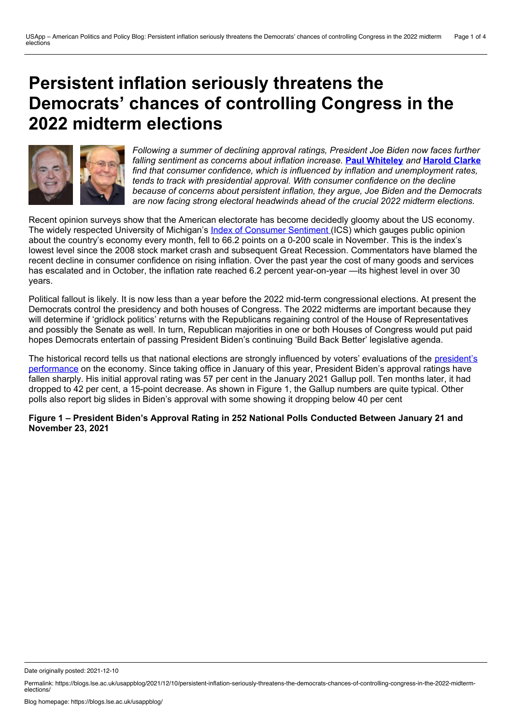# **Persistent inflation seriously threatens the Democrats' chances of controlling Congress in the 2022 midterm elections**



*Following a summer of declining approval ratings, President Joe Biden now faces further falling sentiment as concerns about inflation increase.* **Paul [Whiteley](https://wp.me/p3I2YF-bmh#Author)** *and* **[Harold](https://wp.me/p3I2YF-bmh#Author) Clarke** *find that consumer confidence, which is influenced by inflation and unemployment rates, tends to track with presidential approval. With consumer confidence on the decline because of concerns about persistent inflation, they argue, Joe Biden and the Democrats are now facing strong electoral headwinds ahead of the crucial 2022 midterm elections.*

Recent opinion surveys show that the American electorate has become decidedly gloomy about the US economy. The widely respected University of Michigan's Index of [Consumer](http://data.sca.isr.umich.edu) Sentiment (ICS) which gauges public opinion about the country's economy every month, fell to 66.2 points on a 0-200 scale in November. This is the index's lowest level since the 2008 stock market crash and subsequent Great Recession. Commentators have blamed the recent decline in consumer confidence on rising inflation. Over the past year the cost of many goods and services has escalated and in October, the inflation rate reached 6.2 percent year-on-year —its highest level in over 30 years.

Political fallout is likely. It is now less than a year before the 2022 mid-term congressional elections. At present the Democrats control the presidency and both houses of Congress. The 2022 midterms are important because they will determine if 'gridlock politics' returns with the Republicans regaining control of the House of Representatives and possibly the Senate as well. In turn, Republican majorities in one or both Houses of Congress would put paid hopes Democrats entertain of passing President Biden's continuing 'Build Back Better' legislative agenda.

The historical record tells us that national elections are strongly influenced by voters' evaluations of the president's [performance](https://news.galup.com/interactives/184273/presidential-job-approval-center.aspx) on the economy. Since taking office in January of this year, President Biden's approval ratings have fallen sharply. His initial approval rating was 57 per cent in the January 2021 Gallup poll. Ten months later, it had dropped to 42 per cent, a 15-point decrease. As shown in Figure 1, the Gallup numbers are quite typical. Other polls also report big slides in Biden's approval with some showing it dropping below 40 per cent

**Figure 1 – President Biden's Approval Rating in 252 National Polls Conducted Between January 21 and November 23, 2021**

Date originally posted: 2021-12-10

Permalink: https://blogs.lse.ac.uk/usappblog/2021/12/10/persistent-inflation-seriously-threatens-the-democrats-chances-of-controlling-congress-in-the-2022-midterm-<br>elections/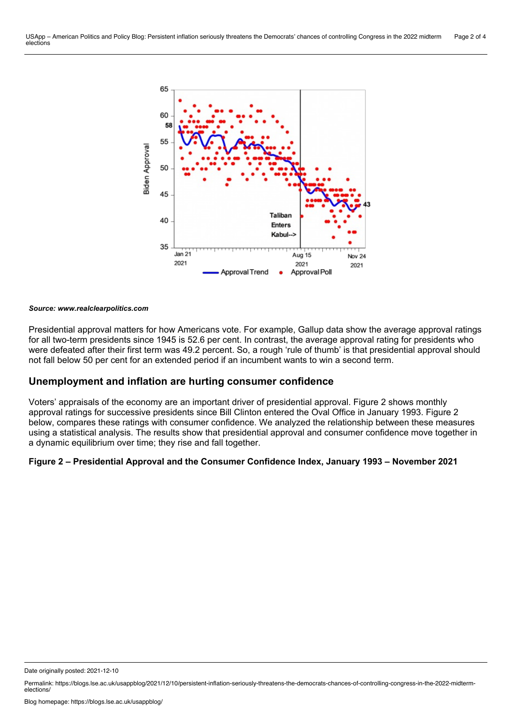

#### *Source: www.realclearpolitics.com*

Presidential approval matters for how Americans vote. For example, Gallup data show the average approval ratings for all two-term presidents since 1945 is 52.6 per cent. In contrast, the average approval rating for presidents who were defeated after their first term was 49.2 percent. So, a rough 'rule of thumb' is that presidential approval should not fall below 50 per cent for an extended period if an incumbent wants to win a second term.

### **Unemployment and inflation are hurting consumer confidence**

Voters' appraisals of the economy are an important driver of presidential approval. Figure 2 shows monthly approval ratings for successive presidents since Bill Clinton entered the Oval Office in January 1993. Figure 2 below, compares these ratings with consumer confidence. We analyzed the relationship between these measures using a statistical analysis. The results show that presidential approval and consumer confidence move together in a dynamic equilibrium over time; they rise and fall together.

#### **Figure 2 – Presidential Approval and the Consumer Confidence Index, January 1993 – November 2021**

Date originally posted: 2021-12-10

Permalink: https://blogs.lse.ac.uk/usappblog/2021/12/10/persistent-inflation-seriously-threatens-the-democrats-chances-of-controlling-congress-in-the-2022-midterm-<br>elections/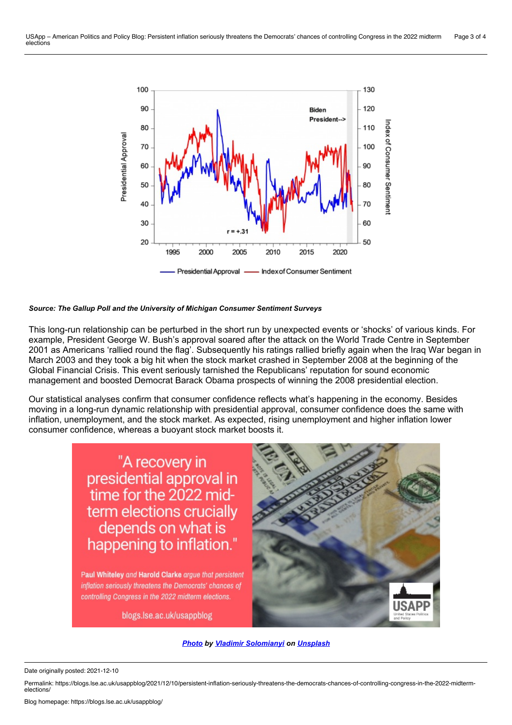

#### *Source: The Gallup Poll and the University of Michigan Consumer Sentiment Surveys*

This long-run relationship can be perturbed in the short run by unexpected events or 'shocks' of various kinds. For example, President George W. Bush's approval soared after the attack on the World Trade Centre in September 2001 as Americans 'rallied round the flag'. Subsequently his ratings rallied briefly again when the Iraq War began in March 2003 and they took a big hit when the stock market crashed in September 2008 at the beginning of the Global Financial Crisis. This event seriously tarnished the Republicans' reputation for sound economic management and boosted Democrat Barack Obama prospects of winning the 2008 presidential election.

Our statistical analyses confirm that consumer confidence reflects what's happening in the economy. Besides moving in a long-run dynamic relationship with presidential approval, consumer confidence does the same with inflation, unemployment, and the stock market. As expected, rising unemployment and higher inflation lower consumer confidence, whereas a buoyant stock market boosts it.

> "A recovery in<br>presidential approval in<br>time for the 2022 midterm elections crucially depends on what is happening to inflation."

Paul Whiteley and Harold Clarke argue that persistent inflation seriously threatens the Democrats' chances of controlling Congress in the 2022 midterm elections.

blogs.lse.ac.uk/usappblog



*[Photo](https://unsplash.com/photos/rKPiuXLq29A) by Vladimir [Solomianyi](https://unsplash.com/@vsolomianyi?utm_source=unsplash&utm_medium=referral&utm_content=creditCopyText) on [Unsplash](https://unsplash.com/s/photos/inflation?utm_source=unsplash&utm_medium=referral&utm_content=creditCopyText)*

Permalink: https://blogs.lse.ac.uk/usappblog/2021/12/10/persistent-inflation-seriously-threatens-the-democrats-chances-of-controlling-congress-in-the-2022-midterm-<br>elections/

Date originally posted: 2021-12-10